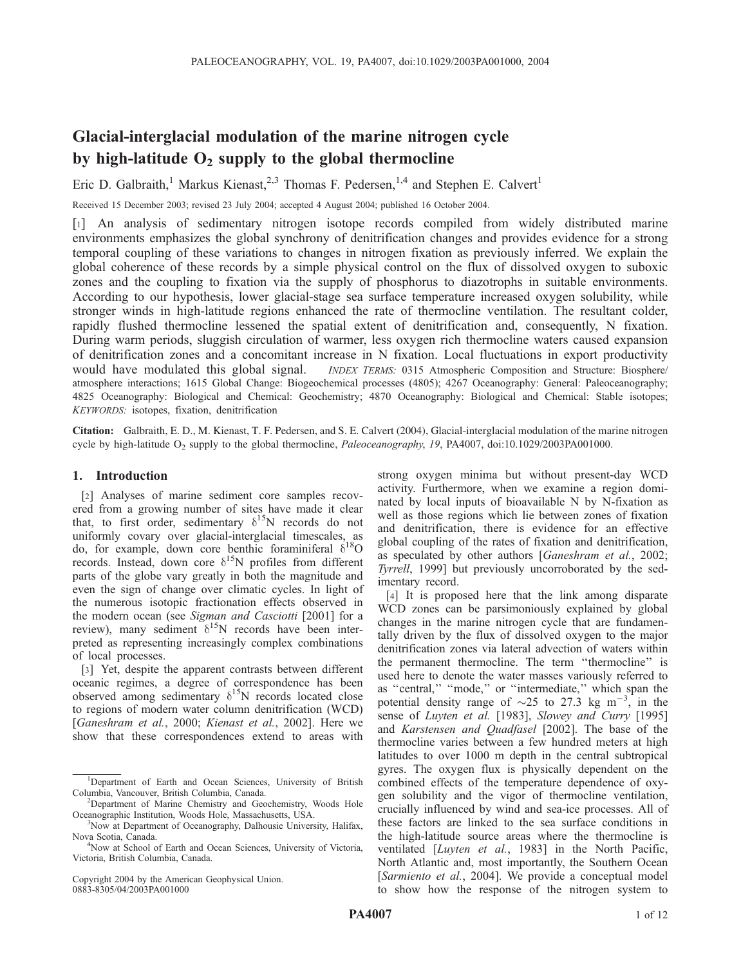# Glacial-interglacial modulation of the marine nitrogen cycle by high-latitude  $O_2$  supply to the global thermocline

Eric D. Galbraith,<sup>1</sup> Markus Kienast,<sup>2,3</sup> Thomas F. Pedersen,<sup>1,4</sup> and Stephen E. Calvert<sup>1</sup>

Received 15 December 2003; revised 23 July 2004; accepted 4 August 2004; published 16 October 2004.

[1] An analysis of sedimentary nitrogen isotope records compiled from widely distributed marine environments emphasizes the global synchrony of denitrification changes and provides evidence for a strong temporal coupling of these variations to changes in nitrogen fixation as previously inferred. We explain the global coherence of these records by a simple physical control on the flux of dissolved oxygen to suboxic zones and the coupling to fixation via the supply of phosphorus to diazotrophs in suitable environments. According to our hypothesis, lower glacial-stage sea surface temperature increased oxygen solubility, while stronger winds in high-latitude regions enhanced the rate of thermocline ventilation. The resultant colder, rapidly flushed thermocline lessened the spatial extent of denitrification and, consequently, N fixation. During warm periods, sluggish circulation of warmer, less oxygen rich thermocline waters caused expansion of denitrification zones and a concomitant increase in N fixation. Local fluctuations in export productivity would have modulated this global signal. *INDEX TERMS:* 0315 Atmospheric Composition and Structure: Biosphere/ atmosphere interactions; 1615 Global Change: Biogeochemical processes (4805); 4267 Oceanography: General: Paleoceanography; 4825 Oceanography: Biological and Chemical: Geochemistry; 4870 Oceanography: Biological and Chemical: Stable isotopes; KEYWORDS: isotopes, fixation, denitrification

Citation: Galbraith, E. D., M. Kienast, T. F. Pedersen, and S. E. Calvert (2004), Glacial-interglacial modulation of the marine nitrogen cycle by high-latitude  $O_2$  supply to the global thermocline, *Paleoceanography*, 19, PA4007, doi:10.1029/2003PA001000.

### 1. Introduction

[2] Analyses of marine sediment core samples recovered from a growing number of sites have made it clear that, to first order, sedimentary  $\delta^{15}N$  records do not uniformly covary over glacial-interglacial timescales, as do, for example, down core benthic foraminiferal  $\delta^{18}O$ records. Instead, down core  $\delta^{15}N$  profiles from different parts of the globe vary greatly in both the magnitude and even the sign of change over climatic cycles. In light of the numerous isotopic fractionation effects observed in the modern ocean (see Sigman and Casciotti [2001] for a review), many sediment  $\delta^{15}N$  records have been interpreted as representing increasingly complex combinations of local processes.

[3] Yet, despite the apparent contrasts between different oceanic regimes, a degree of correspondence has been observed among sedimentary  $\delta^{15}N$  records located close to regions of modern water column denitrification (WCD) [Ganeshram et al., 2000; Kienast et al., 2002]. Here we show that these correspondences extend to areas with

Copyright 2004 by the American Geophysical Union. 0883-8305/04/2003PA001000

strong oxygen minima but without present-day WCD activity. Furthermore, when we examine a region dominated by local inputs of bioavailable N by N-fixation as well as those regions which lie between zones of fixation and denitrification, there is evidence for an effective global coupling of the rates of fixation and denitrification, as speculated by other authors [Ganeshram et al., 2002; Tyrrell, 1999] but previously uncorroborated by the sedimentary record.

[4] It is proposed here that the link among disparate WCD zones can be parsimoniously explained by global changes in the marine nitrogen cycle that are fundamentally driven by the flux of dissolved oxygen to the major denitrification zones via lateral advection of waters within the permanent thermocline. The term ''thermocline'' is used here to denote the water masses variously referred to as ''central,'' ''mode,'' or ''intermediate,'' which span the potential density range of  $\sim$ 25 to 27.3 kg m<sup>-3</sup>, in the sense of Luyten et al. [1983], Slowey and Curry [1995] and Karstensen and Quadfasel [2002]. The base of the thermocline varies between a few hundred meters at high latitudes to over 1000 m depth in the central subtropical gyres. The oxygen flux is physically dependent on the combined effects of the temperature dependence of oxygen solubility and the vigor of thermocline ventilation, crucially influenced by wind and sea-ice processes. All of these factors are linked to the sea surface conditions in the high-latitude source areas where the thermocline is ventilated [Luyten et al., 1983] in the North Pacific, North Atlantic and, most importantly, the Southern Ocean [Sarmiento et al., 2004]. We provide a conceptual model to show how the response of the nitrogen system to

<sup>&</sup>lt;sup>1</sup>Department of Earth and Ocean Sciences, University of British Columbia, Vancouver, British Columbia, Canada. <sup>2</sup>

Department of Marine Chemistry and Geochemistry, Woods Hole Oceanographic Institution, Woods Hole, Massachusetts, USA. <sup>3</sup>

<sup>&</sup>lt;sup>3</sup>Now at Department of Oceanography, Dalhousie University, Halifax, Nova Scotia, Canada. <sup>4</sup>

Now at School of Earth and Ocean Sciences, University of Victoria, Victoria, British Columbia, Canada.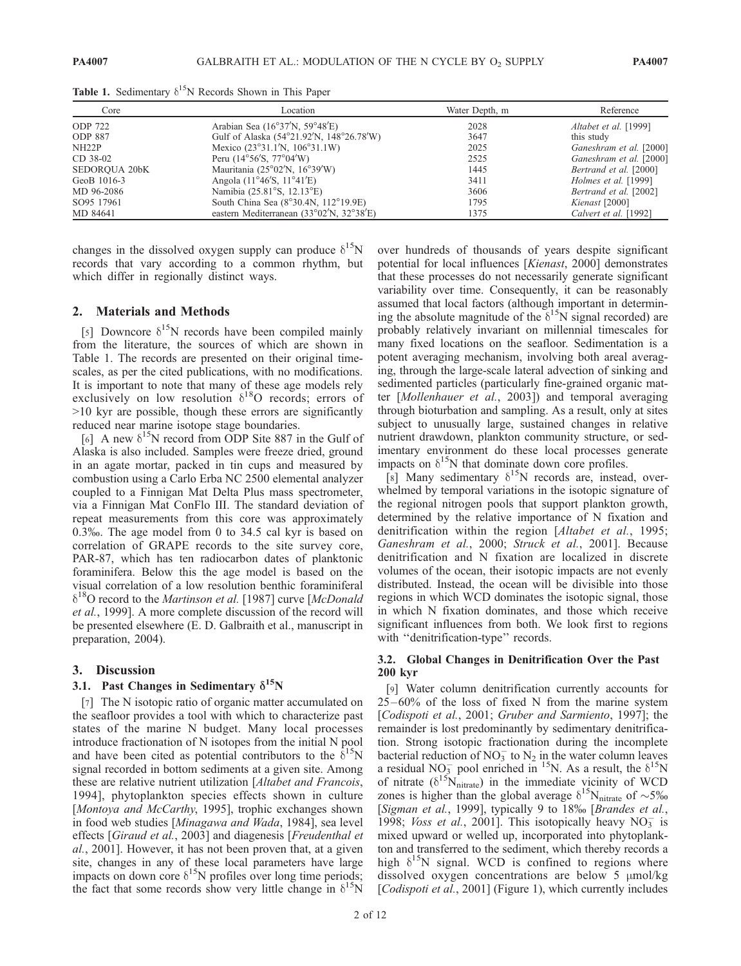| Core                 | Location                                                       | Water Depth, m | Reference                   |
|----------------------|----------------------------------------------------------------|----------------|-----------------------------|
| <b>ODP 722</b>       | Arabian Sea $(16°37'N, 59°48'E)$                               | 2028           | Altabet et al. [1999]       |
| <b>ODP 887</b>       | Gulf of Alaska (54°21.92′N, 148°26.78′W)                       | 3647           | this study                  |
| NH22P                | Mexico $(23^{\circ}31.1^{\prime}N, 106^{\circ}31.1^{\prime}W)$ | 2025           | Ganeshram et al. [2000]     |
| CD 38-02             | Peru ( $14^{\circ}56^{\prime}$ S, $77^{\circ}04^{\prime}$ W)   | 2525           | Ganeshram et al. [2000]     |
| <b>SEDOROUA 20bK</b> | Mauritania (25 $\degree$ 02'N, 16 $\degree$ 39'W)              | 1445           | Bertrand et al. [2000]      |
| GeoB 1016-3          | Angola $(11^{\circ}46\text{′S}, 11^{\circ}41\text{′E})$        | 3411           | <i>Holmes et al.</i> [1999] |
| MD 96-2086           | Namibia (25.81°S, 12.13°E)                                     | 3606           | Bertrand et al. [2002]      |
| SO95 17961           | South China Sea (8°30.4N, 112°19.9E)                           | 1795           | Kienast [2000]              |
| MD 84641             | eastern Mediterranean (33°02'N, 32°38'E)                       | 1375           | Calvert et al. [1992]       |

Table 1. Sedimentary  $\delta^{15}N$  Records Shown in This Paper

changes in the dissolved oxygen supply can produce  $\delta^{15}N$ records that vary according to a common rhythm, but which differ in regionally distinct ways.

#### 2. Materials and Methods

[5] Downcore  $\delta^{15}N$  records have been compiled mainly from the literature, the sources of which are shown in Table 1. The records are presented on their original timescales, as per the cited publications, with no modifications. It is important to note that many of these age models rely exclusively on low resolution  $\delta^{18}$ O records; errors of >10 kyr are possible, though these errors are significantly reduced near marine isotope stage boundaries.

[6] A new  $\delta^{15}N$  record from ODP Site 887 in the Gulf of Alaska is also included. Samples were freeze dried, ground in an agate mortar, packed in tin cups and measured by combustion using a Carlo Erba NC 2500 elemental analyzer coupled to a Finnigan Mat Delta Plus mass spectrometer, via a Finnigan Mat ConFlo III. The standard deviation of repeat measurements from this core was approximately 0.3%. The age model from 0 to 34.5 cal kyr is based on correlation of GRAPE records to the site survey core, PAR-87, which has ten radiocarbon dates of planktonic foraminifera. Below this the age model is based on the visual correlation of a low resolution benthic foraminiferal  $\delta^{18}$ O record to the *Martinson et al.* [1987] curve [*McDonald* et al., 1999]. A more complete discussion of the record will be presented elsewhere (E. D. Galbraith et al., manuscript in preparation, 2004).

#### 3. Discussion

## 3.1. Past Changes in Sedimentary  $\delta^{15}N$

[7] The N isotopic ratio of organic matter accumulated on the seafloor provides a tool with which to characterize past states of the marine N budget. Many local processes introduce fractionation of N isotopes from the initial N pool and have been cited as potential contributors to the  $\delta^{15}N$ signal recorded in bottom sediments at a given site. Among these are relative nutrient utilization [Altabet and Francois, 1994], phytoplankton species effects shown in culture [Montoya and McCarthy, 1995], trophic exchanges shown in food web studies [Minagawa and Wada, 1984], sea level effects [Giraud et al., 2003] and diagenesis [Freudenthal et al., 2001]. However, it has not been proven that, at a given site, changes in any of these local parameters have large impacts on down core  $\delta^{15}N$  profiles over long time periods; the fact that some records show very little change in  $\delta^{15}$ N

over hundreds of thousands of years despite significant potential for local influences [Kienast, 2000] demonstrates that these processes do not necessarily generate significant variability over time. Consequently, it can be reasonably assumed that local factors (although important in determining the absolute magnitude of the  $\delta^{15}N$  signal recorded) are probably relatively invariant on millennial timescales for many fixed locations on the seafloor. Sedimentation is a potent averaging mechanism, involving both areal averaging, through the large-scale lateral advection of sinking and sedimented particles (particularly fine-grained organic matter [Mollenhauer et al., 2003]) and temporal averaging through bioturbation and sampling. As a result, only at sites subject to unusually large, sustained changes in relative nutrient drawdown, plankton community structure, or sedimentary environment do these local processes generate impacts on  $\delta^{15}N$  that dominate down core profiles.

[8] Many sedimentary  $\delta^{15}N$  records are, instead, overwhelmed by temporal variations in the isotopic signature of the regional nitrogen pools that support plankton growth, determined by the relative importance of N fixation and denitrification within the region [Altabet et al., 1995; Ganeshram et al., 2000; Struck et al., 2001]. Because denitrification and N fixation are localized in discrete volumes of the ocean, their isotopic impacts are not evenly distributed. Instead, the ocean will be divisible into those regions in which WCD dominates the isotopic signal, those in which N fixation dominates, and those which receive significant influences from both. We look first to regions with "denitrification-type" records.

#### 3.2. Global Changes in Denitrification Over the Past 200 kyr

[9] Water column denitrification currently accounts for  $25-60\%$  of the loss of fixed N from the marine system [Codispoti et al., 2001; Gruber and Sarmiento, 1997]; the remainder is lost predominantly by sedimentary denitrification. Strong isotopic fractionation during the incomplete bacterial reduction of NO<sub>3</sub> to N<sub>2</sub> in the water column leaves a residual NO<sub>3</sub> pool enriched in <sup>15</sup>N. As a result, the  $\delta^{15}N$ of nitrate  $(\delta^{15}N_{\text{nitrate}})$  in the immediate vicinity of WCD zones is higher than the global average  $\delta^{15}$ N<sub>nitrate</sub> of ~5% [Sigman et al., 1999], typically 9 to 18‰ [Brandes et al., 1998; Voss et al., 2001]. This isotopically heavy  $NO<sub>3</sub>^-$  is mixed upward or welled up, incorporated into phytoplankton and transferred to the sediment, which thereby records a high  $\delta^{15}N$  signal. WCD is confined to regions where dissolved oxygen concentrations are below  $5 \mu \text{mol/kg}$ [Codispoti et al., 2001] (Figure 1), which currently includes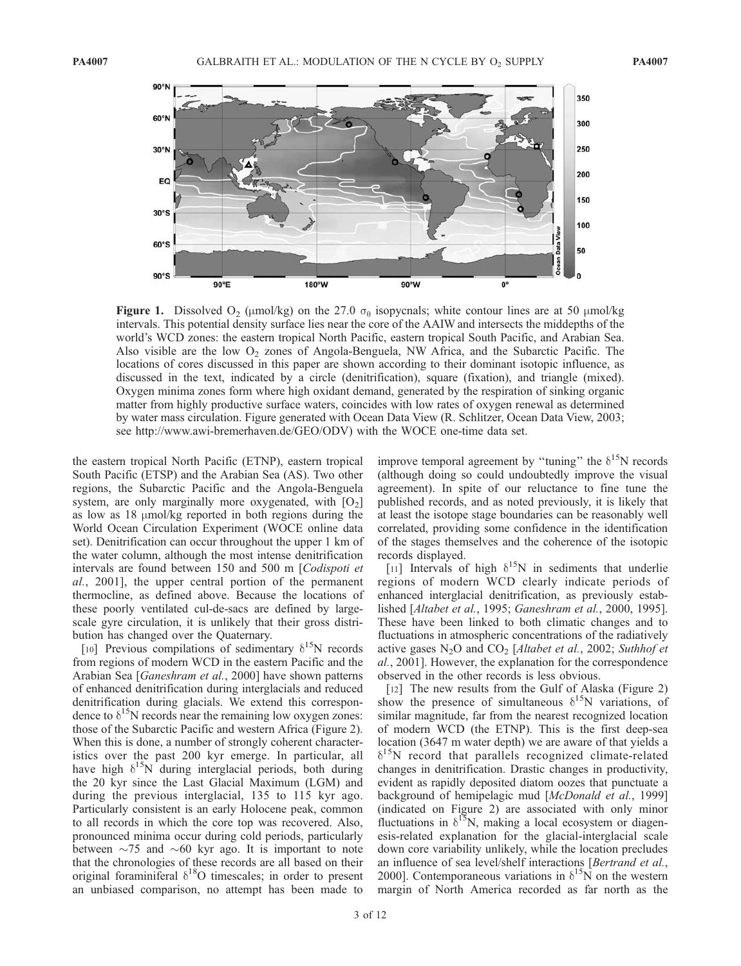

Figure 1. Dissolved  $O_2$  ( $\mu$ mol/kg) on the 27.0  $\sigma_\theta$  isopycnals; white contour lines are at 50  $\mu$ mol/kg intervals. This potential density surface lies near the core of the AAIW and intersects the middepths of the world's WCD zones: the eastern tropical North Pacific, eastern tropical South Pacific, and Arabian Sea. Also visible are the low  $O_2$  zones of Angola-Benguela, NW Africa, and the Subarctic Pacific. The locations of cores discussed in this paper are shown according to their dominant isotopic influence, as discussed in the text, indicated by a circle (denitrification), square (fixation), and triangle (mixed). Oxygen minima zones form where high oxidant demand, generated by the respiration of sinking organic matter from highly productive surface waters, coincides with low rates of oxygen renewal as determined by water mass circulation. Figure generated with Ocean Data View (R. Schlitzer, Ocean Data View, 2003; see http://www.awi-bremerhaven.de/GEO/ODV) with the WOCE one-time data set.

the eastern tropical North Pacific (ETNP), eastern tropical South Pacific (ETSP) and the Arabian Sea (AS). Two other regions, the Subarctic Pacific and the Angola-Benguela system, are only marginally more oxygenated, with  $[O_2]$ as low as  $18 \mu \text{mol/kg}$  reported in both regions during the World Ocean Circulation Experiment (WOCE online data set). Denitrification can occur throughout the upper 1 km of the water column, although the most intense denitrification intervals are found between 150 and 500 m [Codispoti et al., 2001], the upper central portion of the permanent thermocline, as defined above. Because the locations of these poorly ventilated cul-de-sacs are defined by largescale gyre circulation, it is unlikely that their gross distribution has changed over the Quaternary.

[10] Previous compilations of sedimentary  $\delta^{15}N$  records from regions of modern WCD in the eastern Pacific and the Arabian Sea [Ganeshram et al., 2000] have shown patterns of enhanced denitrification during interglacials and reduced denitrification during glacials. We extend this correspondence to  $\delta^{15}$ N records near the remaining low oxygen zones: those of the Subarctic Pacific and western Africa (Figure 2). When this is done, a number of strongly coherent characteristics over the past 200 kyr emerge. In particular, all have high  $\delta^{15}N$  during interglacial periods, both during the 20 kyr since the Last Glacial Maximum (LGM) and during the previous interglacial, 135 to 115 kyr ago. Particularly consistent is an early Holocene peak, common to all records in which the core top was recovered. Also, pronounced minima occur during cold periods, particularly between  $\sim$ 75 and  $\sim$ 60 kyr ago. It is important to note that the chronologies of these records are all based on their original foraminiferal  $\delta^{18}O$  timescales; in order to present an unbiased comparison, no attempt has been made to

improve temporal agreement by "tuning" the  $\delta^{15}$ N records (although doing so could undoubtedly improve the visual agreement). In spite of our reluctance to fine tune the published records, and as noted previously, it is likely that at least the isotope stage boundaries can be reasonably well correlated, providing some confidence in the identification of the stages themselves and the coherence of the isotopic records displayed.

[11] Intervals of high  $\delta^{15}N$  in sediments that underlie regions of modern WCD clearly indicate periods of enhanced interglacial denitrification, as previously established [Altabet et al., 1995; Ganeshram et al., 2000, 1995]. These have been linked to both climatic changes and to fluctuations in atmospheric concentrations of the radiatively active gases  $N_2O$  and  $CO_2$  [Altabet et al., 2002; Suthhof et al., 2001]. However, the explanation for the correspondence observed in the other records is less obvious.

[12] The new results from the Gulf of Alaska (Figure 2) show the presence of simultaneous  $\delta^{15}$ N variations, of similar magnitude, far from the nearest recognized location of modern WCD (the ETNP). This is the first deep-sea location (3647 m water depth) we are aware of that yields a  $\delta^{15}$ N record that parallels recognized climate-related changes in denitrification. Drastic changes in productivity, evident as rapidly deposited diatom oozes that punctuate a background of hemipelagic mud [McDonald et al., 1999] (indicated on Figure 2) are associated with only minor fluctuations in  $\delta^{15}N$ , making a local ecosystem or diagenesis-related explanation for the glacial-interglacial scale down core variability unlikely, while the location precludes an influence of sea level/shelf interactions [Bertrand et al., 2000]. Contemporaneous variations in  $\delta^{15}$ N on the western margin of North America recorded as far north as the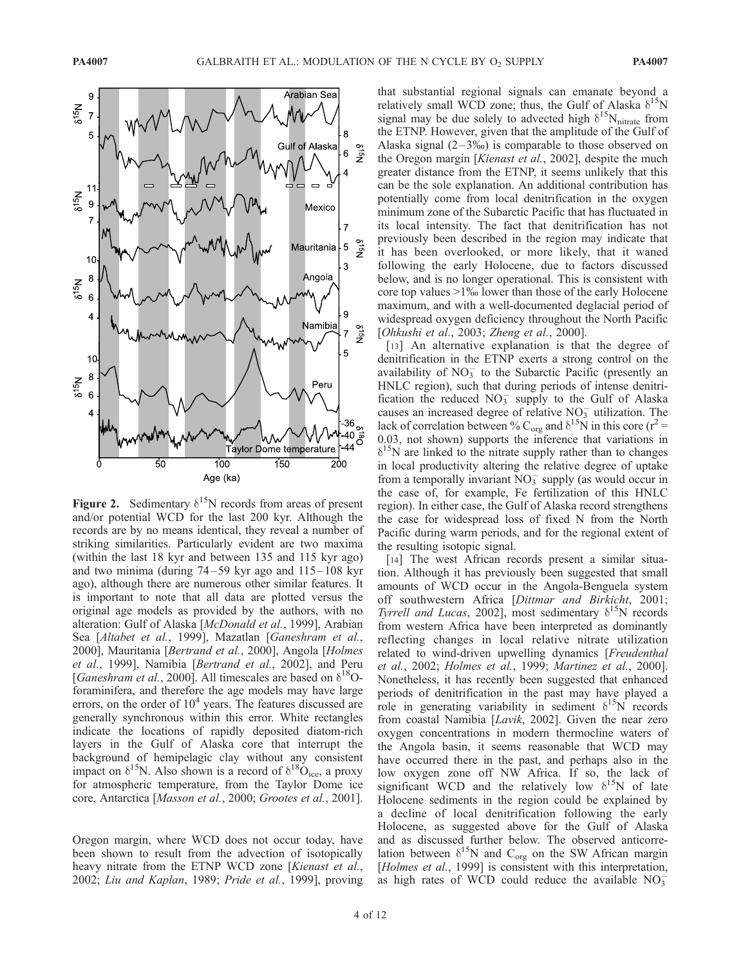

Figure 2. Sedimentary  $\delta^{15}N$  records from areas of present and/or potential WCD for the last 200 kyr. Although the records are by no means identical, they reveal a number of striking similarities. Particularly evident are two maxima (within the last 18 kyr and between 135 and 115 kyr ago) and two minima (during 74 –59 kyr ago and 115– 108 kyr ago), although there are numerous other similar features. It is important to note that all data are plotted versus the original age models as provided by the authors, with no alteration: Gulf of Alaska [McDonald et al., 1999], Arabian Sea [Altabet et al., 1999], Mazatlan [Ganeshram et al., 2000], Mauritania [Bertrand et al., 2000], Angola [Holmes et al., 1999], Namibia [Bertrand et al., 2002], and Peru [Ganeshram et al., 2000]. All timescales are based on  $\delta^{18}O$ foraminifera, and therefore the age models may have large errors, on the order of  $10<sup>4</sup>$  years. The features discussed are generally synchronous within this error. White rectangles indicate the locations of rapidly deposited diatom-rich layers in the Gulf of Alaska core that interrupt the background of hemipelagic clay without any consistent impact on  $\delta^{15}N$ . Also shown is a record of  $\delta^{18}O_{\text{ice}}$ , a proxy for atmospheric temperature, from the Taylor Dome ice core, Antarctica [Masson et al., 2000; Grootes et al., 2001].

Oregon margin, where WCD does not occur today, have been shown to result from the advection of isotopically heavy nitrate from the ETNP WCD zone [Kienast et al., 2002; Liu and Kaplan, 1989; Pride et al., 1999], proving that substantial regional signals can emanate beyond a relatively small WCD zone; thus, the Gulf of Alaska  $\delta^{15}N$ signal may be due solely to advected high  $\delta^{15}N_{\text{nitrate}}$  from the ETNP. However, given that the amplitude of the Gulf of Alaska signal  $(2-3\%)$  is comparable to those observed on the Oregon margin [Kienast et al., 2002], despite the much greater distance from the ETNP, it seems unlikely that this can be the sole explanation. An additional contribution has potentially come from local denitrification in the oxygen minimum zone of the Subarctic Pacific that has fluctuated in its local intensity. The fact that denitrification has not previously been described in the region may indicate that it has been overlooked, or more likely, that it waned following the early Holocene, due to factors discussed below, and is no longer operational. This is consistent with core top values  $>1\%$  lower than those of the early Holocene maximum, and with a well-documented deglacial period of widespread oxygen deficiency throughout the North Pacific [Ohkushi et al., 2003; Zheng et al., 2000].

[13] An alternative explanation is that the degree of denitrification in the ETNP exerts a strong control on the availability of  $NO<sub>3</sub><sup>-</sup>$  to the Subarctic Pacific (presently an HNLC region), such that during periods of intense denitrification the reduced  $NO<sub>3</sub><sup>-</sup>$  supply to the Gulf of Alaska causes an increased degree of relative  $NO<sub>3</sub><sup>-</sup>$  utilization. The lack of correlation between % C<sub>org</sub> and  $\delta^{15}$ N in this core (r<sup>2</sup> = 0.03, not shown) supports the inference that variations in  $\delta^{15}$ N are linked to the nitrate supply rather than to changes in local productivity altering the relative degree of uptake from a temporally invariant  $\overline{NO_3}$  supply (as would occur in the case of, for example, Fe fertilization of this HNLC region). In either case, the Gulf of Alaska record strengthens the case for widespread loss of fixed N from the North Pacific during warm periods, and for the regional extent of the resulting isotopic signal.

[14] The west African records present a similar situation. Although it has previously been suggested that small amounts of WCD occur in the Angola-Benguela system off southwestern Africa [Dittmar and Birkicht, 2001; Tyrrell and Lucas, 2002], most sedimentary  $\delta^{15}$ N records from western Africa have been interpreted as dominantly reflecting changes in local relative nitrate utilization related to wind-driven upwelling dynamics [Freudenthal et al., 2002; Holmes et al., 1999; Martinez et al., 2000]. Nonetheless, it has recently been suggested that enhanced periods of denitrification in the past may have played a role in generating variability in sediment  $\delta^{15}$ N records from coastal Namibia [Lavik, 2002]. Given the near zero oxygen concentrations in modern thermocline waters of the Angola basin, it seems reasonable that WCD may have occurred there in the past, and perhaps also in the low oxygen zone off NW Africa. If so, the lack of significant WCD and the relatively low  $\delta^{15}N$  of late Holocene sediments in the region could be explained by a decline of local denitrification following the early Holocene, as suggested above for the Gulf of Alaska and as discussed further below. The observed anticorrelation between  $\delta^{15}N$  and  $C_{org}$  on the SW African margin [Holmes et al., 1999] is consistent with this interpretation, as high rates of WCD could reduce the available  $NO_3^-$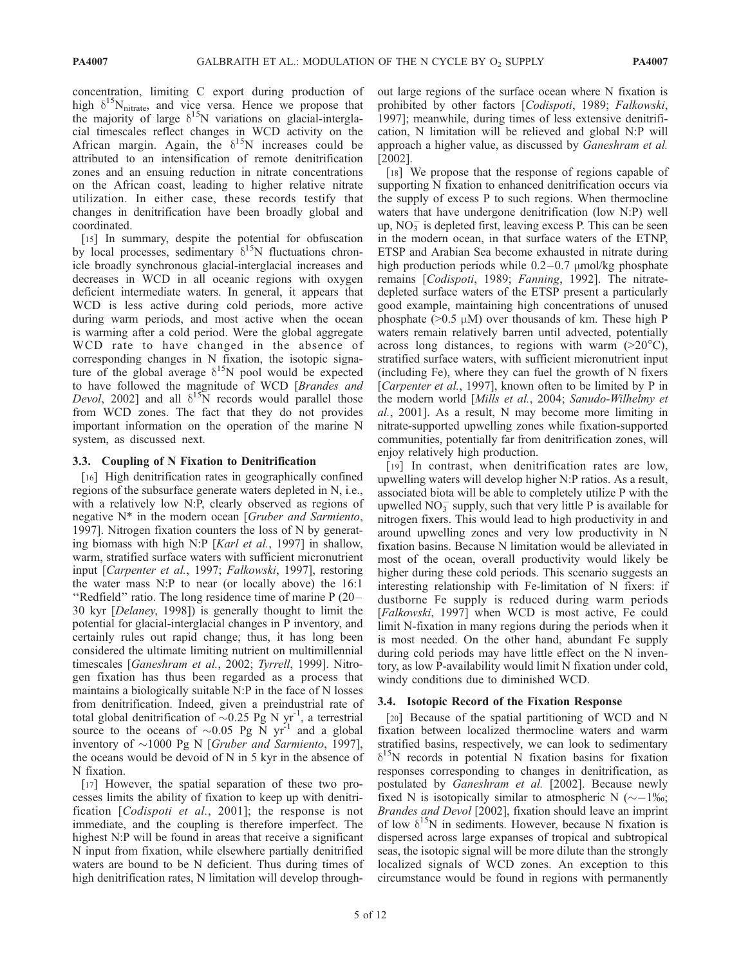concentration, limiting C export during production of high  $\delta^{15}N_{\text{nitrate}}$ , and vice versa. Hence we propose that the majority of large  $\delta^{15}N$  variations on glacial-interglacial timescales reflect changes in WCD activity on the African margin. Again, the  $\delta^{15}N$  increases could be attributed to an intensification of remote denitrification zones and an ensuing reduction in nitrate concentrations on the African coast, leading to higher relative nitrate utilization. In either case, these records testify that changes in denitrification have been broadly global and coordinated.

[15] In summary, despite the potential for obfuscation by local processes, sedimentary  $\delta^{15}N$  fluctuations chronicle broadly synchronous glacial-interglacial increases and decreases in WCD in all oceanic regions with oxygen deficient intermediate waters. In general, it appears that WCD is less active during cold periods, more active during warm periods, and most active when the ocean is warming after a cold period. Were the global aggregate WCD rate to have changed in the absence of corresponding changes in N fixation, the isotopic signature of the global average  $\delta^{15}N$  pool would be expected to have followed the magnitude of WCD [Brandes and Devol, 2002] and all  $\delta^{15}$ N records would parallel those from WCD zones. The fact that they do not provides important information on the operation of the marine N system, as discussed next.

#### 3.3. Coupling of N Fixation to Denitrification

[16] High denitrification rates in geographically confined regions of the subsurface generate waters depleted in N, i.e., with a relatively low N:P, clearly observed as regions of negative N\* in the modern ocean [Gruber and Sarmiento, 1997]. Nitrogen fixation counters the loss of N by generating biomass with high N:P [Karl et al., 1997] in shallow, warm, stratified surface waters with sufficient micronutrient input [Carpenter et al., 1997; Falkowski, 1997], restoring the water mass N:P to near (or locally above) the 16:1 ''Redfield'' ratio. The long residence time of marine P (20 – 30 kyr [Delaney, 1998]) is generally thought to limit the potential for glacial-interglacial changes in P inventory, and certainly rules out rapid change; thus, it has long been considered the ultimate limiting nutrient on multimillennial timescales [Ganeshram et al., 2002; Tyrrell, 1999]. Nitrogen fixation has thus been regarded as a process that maintains a biologically suitable N:P in the face of N losses from denitrification. Indeed, given a preindustrial rate of total global denitrification of  $\sim 0.25$  Pg N yr<sup>-1</sup>, a terrestrial source to the oceans of  $\sim 0.05$  Pg N yr<sup>-1</sup> and a global inventory of  $\sim$ 1000 Pg N [Gruber and Sarmiento, 1997], the oceans would be devoid of N in 5 kyr in the absence of N fixation.

[17] However, the spatial separation of these two processes limits the ability of fixation to keep up with denitrification [Codispoti et al., 2001]; the response is not immediate, and the coupling is therefore imperfect. The highest N:P will be found in areas that receive a significant N input from fixation, while elsewhere partially denitrified waters are bound to be N deficient. Thus during times of high denitrification rates, N limitation will develop through-

out large regions of the surface ocean where N fixation is prohibited by other factors [Codispoti, 1989; Falkowski, 1997]; meanwhile, during times of less extensive denitrification, N limitation will be relieved and global N:P will approach a higher value, as discussed by Ganeshram et al. [2002].

[18] We propose that the response of regions capable of supporting N fixation to enhanced denitrification occurs via the supply of excess P to such regions. When thermocline waters that have undergone denitrification (low N:P) well up,  $NO<sub>3</sub><sup>-</sup>$  is depleted first, leaving excess P. This can be seen in the modern ocean, in that surface waters of the ETNP, ETSP and Arabian Sea become exhausted in nitrate during high production periods while  $0.2-0.7$  µmol/kg phosphate remains [Codispoti, 1989; Fanning, 1992]. The nitratedepleted surface waters of the ETSP present a particularly good example, maintaining high concentrations of unused phosphate ( $>0.5 \mu M$ ) over thousands of km. These high P waters remain relatively barren until advected, potentially across long distances, to regions with warm  $(>20^{\circ}C)$ , stratified surface waters, with sufficient micronutrient input (including Fe), where they can fuel the growth of N fixers [Carpenter et al., 1997], known often to be limited by P in the modern world [Mills et al., 2004; Sanudo-Wilhelmy et al., 2001]. As a result, N may become more limiting in nitrate-supported upwelling zones while fixation-supported communities, potentially far from denitrification zones, will enjoy relatively high production.

[19] In contrast, when denitrification rates are low, upwelling waters will develop higher N:P ratios. As a result, associated biota will be able to completely utilize P with the upwelled  $NO_3^-$  supply, such that very little P is available for nitrogen fixers. This would lead to high productivity in and around upwelling zones and very low productivity in N fixation basins. Because N limitation would be alleviated in most of the ocean, overall productivity would likely be higher during these cold periods. This scenario suggests an interesting relationship with Fe-limitation of N fixers: if dustborne Fe supply is reduced during warm periods [Falkowski, 1997] when WCD is most active, Fe could limit N-fixation in many regions during the periods when it is most needed. On the other hand, abundant Fe supply during cold periods may have little effect on the N inventory, as low P-availability would limit N fixation under cold, windy conditions due to diminished WCD.

#### 3.4. Isotopic Record of the Fixation Response

[20] Because of the spatial partitioning of WCD and N fixation between localized thermocline waters and warm stratified basins, respectively, we can look to sedimentary  $\delta^{15}$ N records in potential N fixation basins for fixation responses corresponding to changes in denitrification, as postulated by Ganeshram et al. [2002]. Because newly fixed N is isotopically similar to atmospheric N ( $\sim$  -1‰; Brandes and Devol [2002], fixation should leave an imprint of low  $\delta^{15}N$  in sediments. However, because N fixation is dispersed across large expanses of tropical and subtropical seas, the isotopic signal will be more dilute than the strongly localized signals of WCD zones. An exception to this circumstance would be found in regions with permanently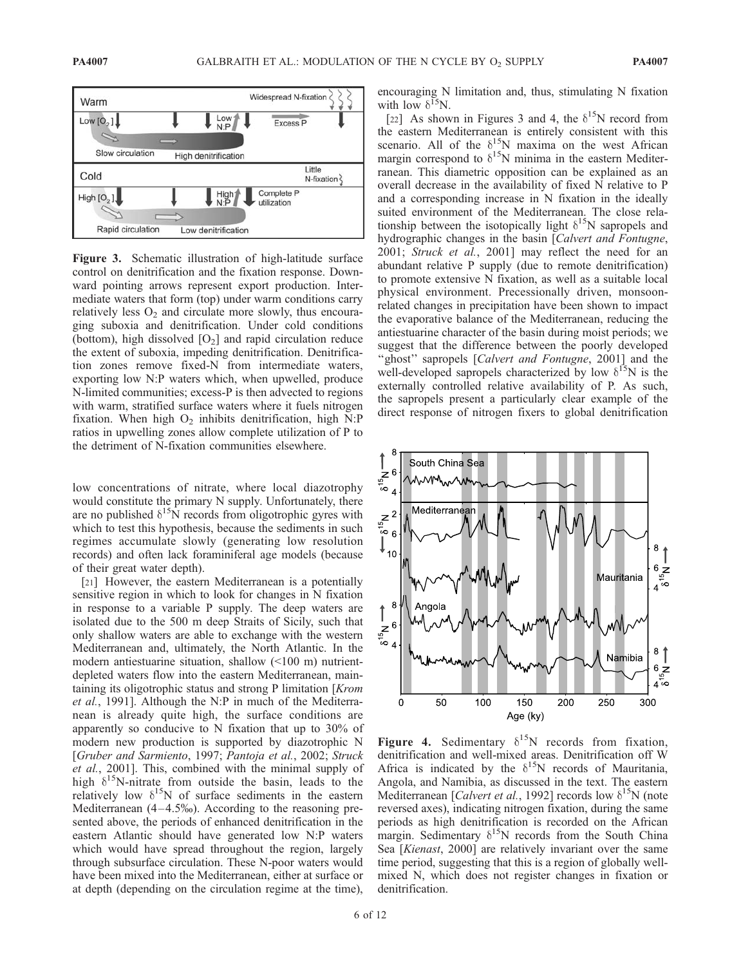

Figure 3. Schematic illustration of high-latitude surface control on denitrification and the fixation response. Downward pointing arrows represent export production. Intermediate waters that form (top) under warm conditions carry relatively less  $O_2$  and circulate more slowly, thus encouraging suboxia and denitrification. Under cold conditions (bottom), high dissolved  $[O_2]$  and rapid circulation reduce the extent of suboxia, impeding denitrification. Denitrification zones remove fixed-N from intermediate waters, exporting low N:P waters which, when upwelled, produce N-limited communities; excess-P is then advected to regions with warm, stratified surface waters where it fuels nitrogen fixation. When high  $O_2$  inhibits denitrification, high N:P ratios in upwelling zones allow complete utilization of P to the detriment of N-fixation communities elsewhere.

low concentrations of nitrate, where local diazotrophy would constitute the primary N supply. Unfortunately, there are no published  $\delta^{15}$ N records from oligotrophic gyres with which to test this hypothesis, because the sediments in such regimes accumulate slowly (generating low resolution records) and often lack foraminiferal age models (because of their great water depth).

[21] However, the eastern Mediterranean is a potentially sensitive region in which to look for changes in N fixation in response to a variable P supply. The deep waters are isolated due to the 500 m deep Straits of Sicily, such that only shallow waters are able to exchange with the western Mediterranean and, ultimately, the North Atlantic. In the modern antiestuarine situation, shallow (<100 m) nutrientdepleted waters flow into the eastern Mediterranean, maintaining its oligotrophic status and strong P limitation [Krom et al., 1991]. Although the N:P in much of the Mediterranean is already quite high, the surface conditions are apparently so conducive to N fixation that up to 30% of modern new production is supported by diazotrophic N [Gruber and Sarmiento, 1997; Pantoja et al., 2002; Struck et al., 2001]. This, combined with the minimal supply of high  $\delta^{15}$ N-nitrate from outside the basin, leads to the relatively low  $\delta^{15}N$  of surface sediments in the eastern Mediterranean  $(4-4.5\%)$ . According to the reasoning presented above, the periods of enhanced denitrification in the eastern Atlantic should have generated low N:P waters which would have spread throughout the region, largely through subsurface circulation. These N-poor waters would have been mixed into the Mediterranean, either at surface or at depth (depending on the circulation regime at the time),

encouraging N limitation and, thus, stimulating N fixation with low  $\delta^{15}N$ .

[22] As shown in Figures 3 and 4, the  $\delta^{15}N$  record from the eastern Mediterranean is entirely consistent with this scenario. All of the  $\delta^{15}N$  maxima on the west African margin correspond to  $\delta^{15}N$  minima in the eastern Mediterranean. This diametric opposition can be explained as an overall decrease in the availability of fixed N relative to P and a corresponding increase in N fixation in the ideally suited environment of the Mediterranean. The close relationship between the isotopically light  $\delta^{15}N$  sapropels and hydrographic changes in the basin [Calvert and Fontugne, 2001; Struck et al., 2001] may reflect the need for an abundant relative P supply (due to remote denitrification) to promote extensive N fixation, as well as a suitable local physical environment. Precessionally driven, monsoonrelated changes in precipitation have been shown to impact the evaporative balance of the Mediterranean, reducing the antiestuarine character of the basin during moist periods; we suggest that the difference between the poorly developed "ghost" sapropels [Calvert and Fontugne, 2001] and the well-developed sapropels characterized by low  $\delta^{15}N$  is the externally controlled relative availability of P. As such, the sapropels present a particularly clear example of the direct response of nitrogen fixers to global denitrification



Figure 4. Sedimentary  $\delta^{15}N$  records from fixation, denitrification and well-mixed areas. Denitrification off W Africa is indicated by the  $\delta^{15}N$  records of Mauritania, Angola, and Namibia, as discussed in the text. The eastern Mediterranean [*Calvert et al.*, 1992] records low  $\delta^{15}N$  (note reversed axes), indicating nitrogen fixation, during the same periods as high denitrification is recorded on the African margin. Sedimentary  $\delta^{15}N$  records from the South China Sea [Kienast, 2000] are relatively invariant over the same time period, suggesting that this is a region of globally wellmixed N, which does not register changes in fixation or denitrification.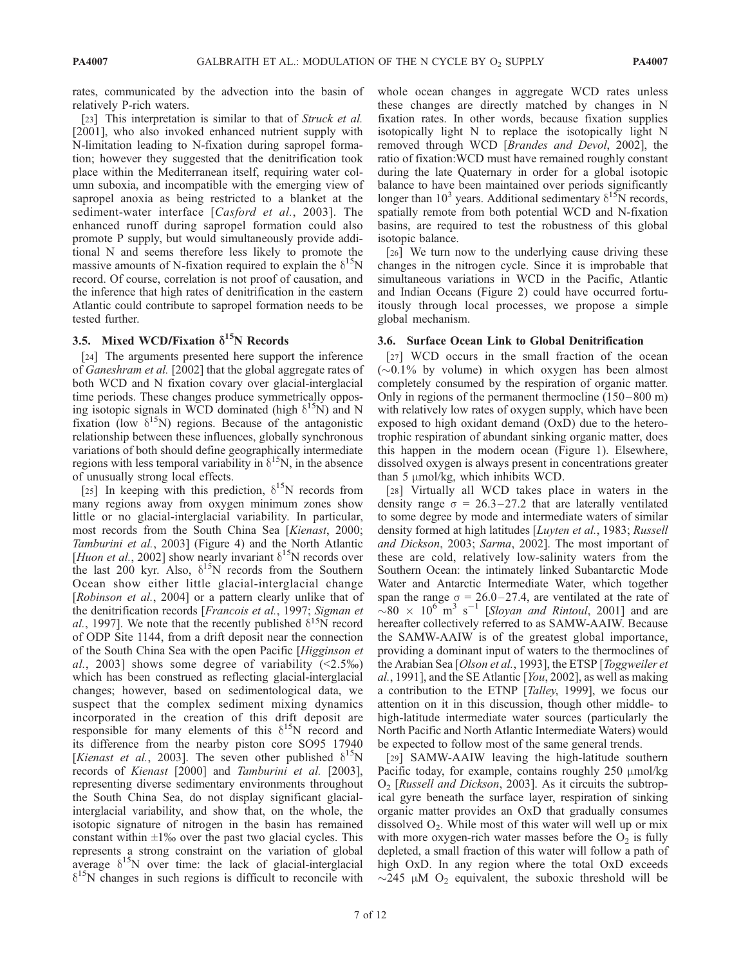rates, communicated by the advection into the basin of relatively P-rich waters.

[23] This interpretation is similar to that of Struck et al. [2001], who also invoked enhanced nutrient supply with N-limitation leading to N-fixation during sapropel formation; however they suggested that the denitrification took place within the Mediterranean itself, requiring water column suboxia, and incompatible with the emerging view of sapropel anoxia as being restricted to a blanket at the sediment-water interface [Casford et al., 2003]. The enhanced runoff during sapropel formation could also promote P supply, but would simultaneously provide additional N and seems therefore less likely to promote the massive amounts of N-fixation required to explain the  $\delta^{15}N$ record. Of course, correlation is not proof of causation, and the inference that high rates of denitrification in the eastern Atlantic could contribute to sapropel formation needs to be tested further.

# 3.5. Mixed WCD/Fixation  $\delta^{15}N$  Records

[24] The arguments presented here support the inference of Ganeshram et al. [2002] that the global aggregate rates of both WCD and N fixation covary over glacial-interglacial time periods. These changes produce symmetrically opposing isotopic signals in WCD dominated (high  $\delta^{15}$ N) and N fixation (low  $\delta^{15}N$ ) regions. Because of the antagonistic relationship between these influences, globally synchronous variations of both should define geographically intermediate regions with less temporal variability in  $\delta^{15}N$ , in the absence of unusually strong local effects.

[25] In keeping with this prediction,  $\delta^{15}N$  records from many regions away from oxygen minimum zones show little or no glacial-interglacial variability. In particular, most records from the South China Sea [Kienast, 2000; Tamburini et al., 2003] (Figure 4) and the North Atlantic [Huon et al., 2002] show nearly invariant  $\delta^{15}N$  records over the last 200 kyr. Also,  $\delta^{15}$ N records from the Southern Ocean show either little glacial-interglacial change [Robinson et al., 2004] or a pattern clearly unlike that of the denitrification records [Francois et al., 1997; Sigman et al., 1997]. We note that the recently published  $\delta^{15}N$  record of ODP Site 1144, from a drift deposit near the connection of the South China Sea with the open Pacific [Higginson et al., 2003] shows some degree of variability  $(\le 2.5\%)$ which has been construed as reflecting glacial-interglacial changes; however, based on sedimentological data, we suspect that the complex sediment mixing dynamics incorporated in the creation of this drift deposit are responsible for many elements of this  $\delta^{15}N$  record and its difference from the nearby piston core SO95 17940 [Kienast et al., 2003]. The seven other published  $\delta^{15}N$ records of Kienast [2000] and Tamburini et al. [2003], representing diverse sedimentary environments throughout the South China Sea, do not display significant glacialinterglacial variability, and show that, on the whole, the isotopic signature of nitrogen in the basin has remained constant within  $\pm 1\%$  over the past two glacial cycles. This represents a strong constraint on the variation of global average  $\delta^{15}N$  over time: the lack of glacial-interglacial  $\delta^{15}$ N changes in such regions is difficult to reconcile with

whole ocean changes in aggregate WCD rates unless these changes are directly matched by changes in N fixation rates. In other words, because fixation supplies isotopically light N to replace the isotopically light N removed through WCD [Brandes and Devol, 2002], the ratio of fixation:WCD must have remained roughly constant during the late Quaternary in order for a global isotopic balance to have been maintained over periods significantly longer than 10<sup>3</sup> years. Additional sedimentary  $\delta^{15}$ N records, spatially remote from both potential WCD and N-fixation basins, are required to test the robustness of this global isotopic balance.

[26] We turn now to the underlying cause driving these changes in the nitrogen cycle. Since it is improbable that simultaneous variations in WCD in the Pacific, Atlantic and Indian Oceans (Figure 2) could have occurred fortuitously through local processes, we propose a simple global mechanism.

#### 3.6. Surface Ocean Link to Global Denitrification

[27] WCD occurs in the small fraction of the ocean  $(\sim 0.1\%$  by volume) in which oxygen has been almost completely consumed by the respiration of organic matter. Only in regions of the permanent thermocline  $(150-800 \text{ m})$ with relatively low rates of oxygen supply, which have been exposed to high oxidant demand (OxD) due to the heterotrophic respiration of abundant sinking organic matter, does this happen in the modern ocean (Figure 1). Elsewhere, dissolved oxygen is always present in concentrations greater than  $5 \mu \text{mol/kg}$ , which inhibits WCD.

[28] Virtually all WCD takes place in waters in the density range  $\sigma = 26.3 - 27.2$  that are laterally ventilated to some degree by mode and intermediate waters of similar density formed at high latitudes [Luyten et al., 1983; Russell and Dickson, 2003; Sarma, 2002]. The most important of these are cold, relatively low-salinity waters from the Southern Ocean: the intimately linked Subantarctic Mode Water and Antarctic Intermediate Water, which together span the range  $\sigma = 26.0 - 27.4$ , are ventilated at the rate of  $\sim 80 \times 10^6$  m<sup>3</sup> s<sup>-1</sup> [Sloyan and Rintoul, 2001] and are hereafter collectively referred to as SAMW-AAIW. Because the SAMW-AAIW is of the greatest global importance, providing a dominant input of waters to the thermoclines of the Arabian Sea [Olson et al., 1993], the ETSP [Toggweiler et al., 1991], and the SE Atlantic [You, 2002], as well as making a contribution to the ETNP [Talley, 1999], we focus our attention on it in this discussion, though other middle- to high-latitude intermediate water sources (particularly the North Pacific and North Atlantic Intermediate Waters) would be expected to follow most of the same general trends.

[29] SAMW-AAIW leaving the high-latitude southern Pacific today, for example, contains roughly  $250 \mu \text{mol/kg}$ O2 [Russell and Dickson, 2003]. As it circuits the subtropical gyre beneath the surface layer, respiration of sinking organic matter provides an OxD that gradually consumes dissolved  $O<sub>2</sub>$ . While most of this water will well up or mix with more oxygen-rich water masses before the  $O<sub>2</sub>$  is fully depleted, a small fraction of this water will follow a path of high OxD. In any region where the total OxD exceeds  $\sim$ 245 µM O<sub>2</sub> equivalent, the suboxic threshold will be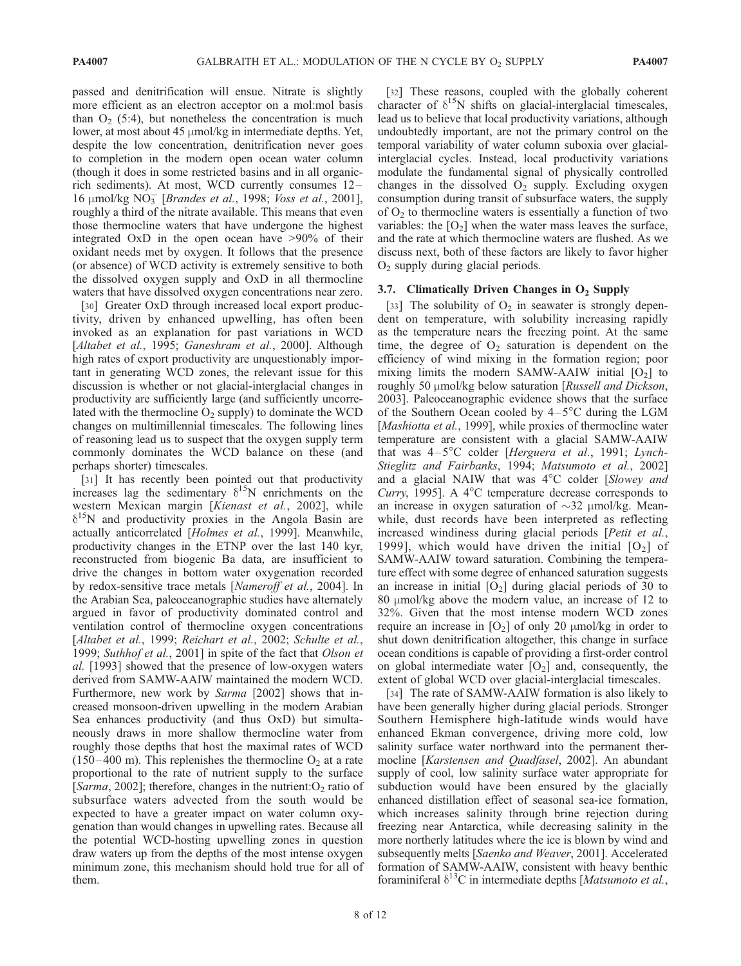passed and denitrification will ensue. Nitrate is slightly more efficient as an electron acceptor on a mol:mol basis than  $O_2$  (5:4), but nonetheless the concentration is much lower, at most about 45  $\mu$ mol/kg in intermediate depths. Yet, despite the low concentration, denitrification never goes to completion in the modern open ocean water column (though it does in some restricted basins and in all organicrich sediments). At most, WCD currently consumes 12– 16 µmol/kg NO<sub>3</sub> [Brandes et al., 1998; Voss et al., 2001], roughly a third of the nitrate available. This means that even those thermocline waters that have undergone the highest integrated OxD in the open ocean have >90% of their oxidant needs met by oxygen. It follows that the presence (or absence) of WCD activity is extremely sensitive to both the dissolved oxygen supply and OxD in all thermocline waters that have dissolved oxygen concentrations near zero.

[30] Greater OxD through increased local export productivity, driven by enhanced upwelling, has often been invoked as an explanation for past variations in WCD [Altabet et al., 1995; Ganeshram et al., 2000]. Although high rates of export productivity are unquestionably important in generating WCD zones, the relevant issue for this discussion is whether or not glacial-interglacial changes in productivity are sufficiently large (and sufficiently uncorrelated with the thermocline  $O_2$  supply) to dominate the WCD changes on multimillennial timescales. The following lines of reasoning lead us to suspect that the oxygen supply term commonly dominates the WCD balance on these (and perhaps shorter) timescales.

[31] It has recently been pointed out that productivity increases lag the sedimentary  $\delta^{15}$ N enrichments on the western Mexican margin [Kienast et al., 2002], while  $\delta^{15}$ N and productivity proxies in the Angola Basin are actually anticorrelated [Holmes et al., 1999]. Meanwhile, productivity changes in the ETNP over the last 140 kyr, reconstructed from biogenic Ba data, are insufficient to drive the changes in bottom water oxygenation recorded by redox-sensitive trace metals [Nameroff et al., 2004]. In the Arabian Sea, paleoceanographic studies have alternately argued in favor of productivity dominated control and ventilation control of thermocline oxygen concentrations [Altabet et al., 1999; Reichart et al., 2002; Schulte et al., 1999; Suthhof et al., 2001] in spite of the fact that Olson et al. [1993] showed that the presence of low-oxygen waters derived from SAMW-AAIW maintained the modern WCD. Furthermore, new work by Sarma [2002] shows that increased monsoon-driven upwelling in the modern Arabian Sea enhances productivity (and thus OxD) but simultaneously draws in more shallow thermocline water from roughly those depths that host the maximal rates of WCD (150–400 m). This replenishes the thermocline  $O_2$  at a rate proportional to the rate of nutrient supply to the surface [Sarma, 2002]; therefore, changes in the nutrient: $O_2$  ratio of subsurface waters advected from the south would be expected to have a greater impact on water column oxygenation than would changes in upwelling rates. Because all the potential WCD-hosting upwelling zones in question draw waters up from the depths of the most intense oxygen minimum zone, this mechanism should hold true for all of them.

[32] These reasons, coupled with the globally coherent character of  $\delta^{15}N$  shifts on glacial-interglacial timescales, lead us to believe that local productivity variations, although undoubtedly important, are not the primary control on the temporal variability of water column suboxia over glacialinterglacial cycles. Instead, local productivity variations modulate the fundamental signal of physically controlled changes in the dissolved  $O_2$  supply. Excluding oxygen consumption during transit of subsurface waters, the supply of  $O<sub>2</sub>$  to thermocline waters is essentially a function of two variables: the  $[O_2]$  when the water mass leaves the surface, and the rate at which thermocline waters are flushed. As we discuss next, both of these factors are likely to favor higher  $O<sub>2</sub>$  supply during glacial periods.

## 3.7. Climatically Driven Changes in  $O<sub>2</sub>$  Supply

[33] The solubility of  $O<sub>2</sub>$  in seawater is strongly dependent on temperature, with solubility increasing rapidly as the temperature nears the freezing point. At the same time, the degree of  $O_2$  saturation is dependent on the efficiency of wind mixing in the formation region; poor mixing limits the modern SAMW-AAIW initial  $[O_2]$  to roughly 50 μmol/kg below saturation [Russell and Dickson, 2003]. Paleoceanographic evidence shows that the surface of the Southern Ocean cooled by  $4-5^{\circ}$ C during the LGM [Mashiotta et al., 1999], while proxies of thermocline water temperature are consistent with a glacial SAMW-AAIW that was  $4-5^{\circ}$ C colder [Herguera et al., 1991; Lynch-Stieglitz and Fairbanks, 1994; Matsumoto et al., 2002] and a glacial NAIW that was  $4^{\circ}$ C colder [Slowey and Curry, 1995]. A  $4^{\circ}$ C temperature decrease corresponds to an increase in oxygen saturation of  $\sim$ 32  $\mu$ mol/kg. Meanwhile, dust records have been interpreted as reflecting increased windiness during glacial periods [Petit et al., 1999], which would have driven the initial  $[O_2]$  of SAMW-AAIW toward saturation. Combining the temperature effect with some degree of enhanced saturation suggests an increase in initial  $[O_2]$  during glacial periods of 30 to 80  $\mu$ mol/kg above the modern value, an increase of 12 to 32%. Given that the most intense modern WCD zones require an increase in  $[O_2]$  of only 20  $\mu$ mol/kg in order to shut down denitrification altogether, this change in surface ocean conditions is capable of providing a first-order control on global intermediate water  $[O_2]$  and, consequently, the extent of global WCD over glacial-interglacial timescales.

[34] The rate of SAMW-AAIW formation is also likely to have been generally higher during glacial periods. Stronger Southern Hemisphere high-latitude winds would have enhanced Ekman convergence, driving more cold, low salinity surface water northward into the permanent thermocline [Karstensen and Quadfasel, 2002]. An abundant supply of cool, low salinity surface water appropriate for subduction would have been ensured by the glacially enhanced distillation effect of seasonal sea-ice formation, which increases salinity through brine rejection during freezing near Antarctica, while decreasing salinity in the more northerly latitudes where the ice is blown by wind and subsequently melts [Saenko and Weaver, 2001]. Accelerated formation of SAMW-AAIW, consistent with heavy benthic foraminiferal  $\delta^{13}$ C in intermediate depths [Matsumoto et al.,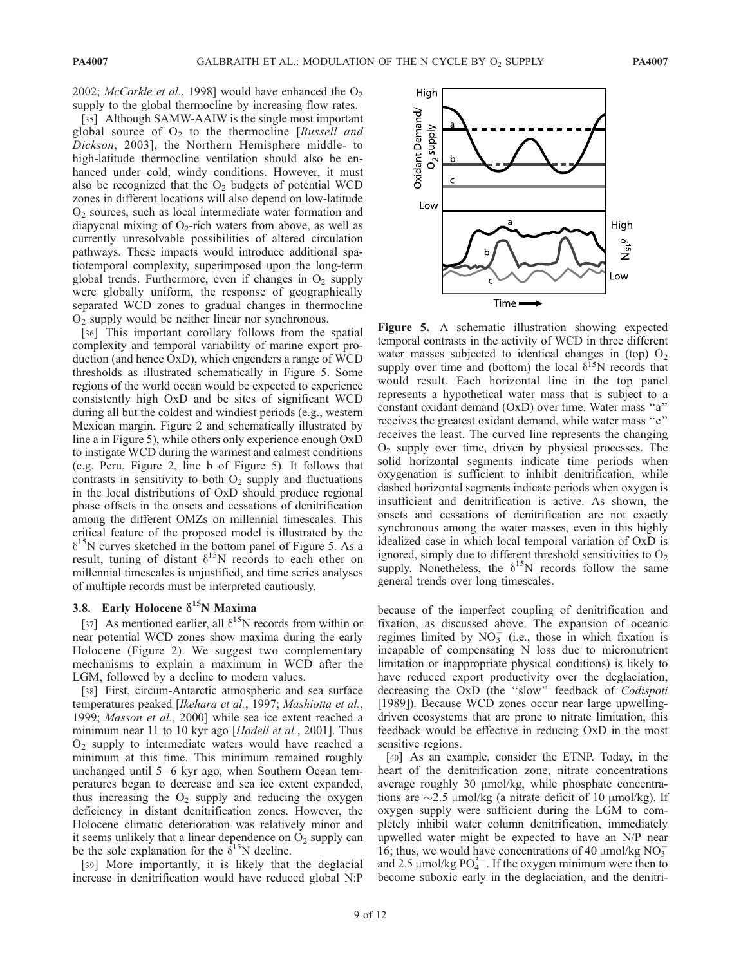2002; McCorkle et al., 1998] would have enhanced the  $O_2$ supply to the global thermocline by increasing flow rates.

[35] Although SAMW-AAIW is the single most important global source of  $O_2$  to the thermocline [Russell and Dickson, 2003], the Northern Hemisphere middle- to high-latitude thermocline ventilation should also be enhanced under cold, windy conditions. However, it must also be recognized that the  $O_2$  budgets of potential WCD zones in different locations will also depend on low-latitude  $O<sub>2</sub>$  sources, such as local intermediate water formation and diapycnal mixing of  $O_2$ -rich waters from above, as well as currently unresolvable possibilities of altered circulation pathways. These impacts would introduce additional spatiotemporal complexity, superimposed upon the long-term global trends. Furthermore, even if changes in  $O_2$  supply were globally uniform, the response of geographically separated WCD zones to gradual changes in thermocline  $O<sub>2</sub>$  supply would be neither linear nor synchronous.

[36] This important corollary follows from the spatial complexity and temporal variability of marine export production (and hence OxD), which engenders a range of WCD thresholds as illustrated schematically in Figure 5. Some regions of the world ocean would be expected to experience consistently high OxD and be sites of significant WCD during all but the coldest and windiest periods (e.g., western Mexican margin, Figure 2 and schematically illustrated by line a in Figure 5), while others only experience enough OxD to instigate WCD during the warmest and calmest conditions (e.g. Peru, Figure 2, line b of Figure 5). It follows that contrasts in sensitivity to both  $O<sub>2</sub>$  supply and fluctuations in the local distributions of OxD should produce regional phase offsets in the onsets and cessations of denitrification among the different OMZs on millennial timescales. This critical feature of the proposed model is illustrated by the  $\delta^{15}$ N curves sketched in the bottom panel of Figure 5. As a result, tuning of distant  $\delta^{15}N$  records to each other on millennial timescales is unjustified, and time series analyses of multiple records must be interpreted cautiously.

## 3.8. Early Holocene  $\delta^{15}$ N Maxima

[37] As mentioned earlier, all  $\delta^{15}$ N records from within or near potential WCD zones show maxima during the early Holocene (Figure 2). We suggest two complementary mechanisms to explain a maximum in WCD after the LGM, followed by a decline to modern values.

[38] First, circum-Antarctic atmospheric and sea surface temperatures peaked [Ikehara et al., 1997; Mashiotta et al., 1999; Masson et al., 2000] while sea ice extent reached a minimum near 11 to 10 kyr ago [Hodell et al., 2001]. Thus O2 supply to intermediate waters would have reached a minimum at this time. This minimum remained roughly unchanged until  $5-6$  kyr ago, when Southern Ocean temperatures began to decrease and sea ice extent expanded, thus increasing the  $O<sub>2</sub>$  supply and reducing the oxygen deficiency in distant denitrification zones. However, the Holocene climatic deterioration was relatively minor and it seems unlikely that a linear dependence on  $O_2$  supply can be the sole explanation for the  $\delta^{15}N$  decline.

[39] More importantly, it is likely that the deglacial increase in denitrification would have reduced global N:P



Figure 5. A schematic illustration showing expected temporal contrasts in the activity of WCD in three different water masses subjected to identical changes in (top)  $O<sub>2</sub>$ supply over time and (bottom) the local  $\delta^{15}N$  records that would result. Each horizontal line in the top panel represents a hypothetical water mass that is subject to a constant oxidant demand (OxD) over time. Water mass ''a'' receives the greatest oxidant demand, while water mass ''c'' receives the least. The curved line represents the changing  $O<sub>2</sub>$  supply over time, driven by physical processes. The solid horizontal segments indicate time periods when oxygenation is sufficient to inhibit denitrification, while dashed horizontal segments indicate periods when oxygen is insufficient and denitrification is active. As shown, the onsets and cessations of denitrification are not exactly synchronous among the water masses, even in this highly idealized case in which local temporal variation of OxD is ignored, simply due to different threshold sensitivities to  $O<sub>2</sub>$ supply. Nonetheless, the  $\delta^{15}$ N records follow the same general trends over long timescales.

because of the imperfect coupling of denitrification and fixation, as discussed above. The expansion of oceanic regimes limited by  $NO<sub>3</sub><sup>-</sup>$  (i.e., those in which fixation is incapable of compensating N loss due to micronutrient limitation or inappropriate physical conditions) is likely to have reduced export productivity over the deglaciation, decreasing the OxD (the ''slow'' feedback of Codispoti [1989]). Because WCD zones occur near large upwellingdriven ecosystems that are prone to nitrate limitation, this feedback would be effective in reducing OxD in the most sensitive regions.

[40] As an example, consider the ETNP. Today, in the heart of the denitrification zone, nitrate concentrations average roughly 30 µmol/kg, while phosphate concentrations are  $\sim$ 2.5 µmol/kg (a nitrate deficit of 10 µmol/kg). If oxygen supply were sufficient during the LGM to completely inhibit water column denitrification, immediately upwelled water might be expected to have an N/P near 16; thus, we would have concentrations of 40  $\mu$ mol/kg NO<sub>3</sub> and 2.5  $\mu$ mol/kg PO $^{3-}_{4}$ . If the oxygen minimum were then to become suboxic early in the deglaciation, and the denitri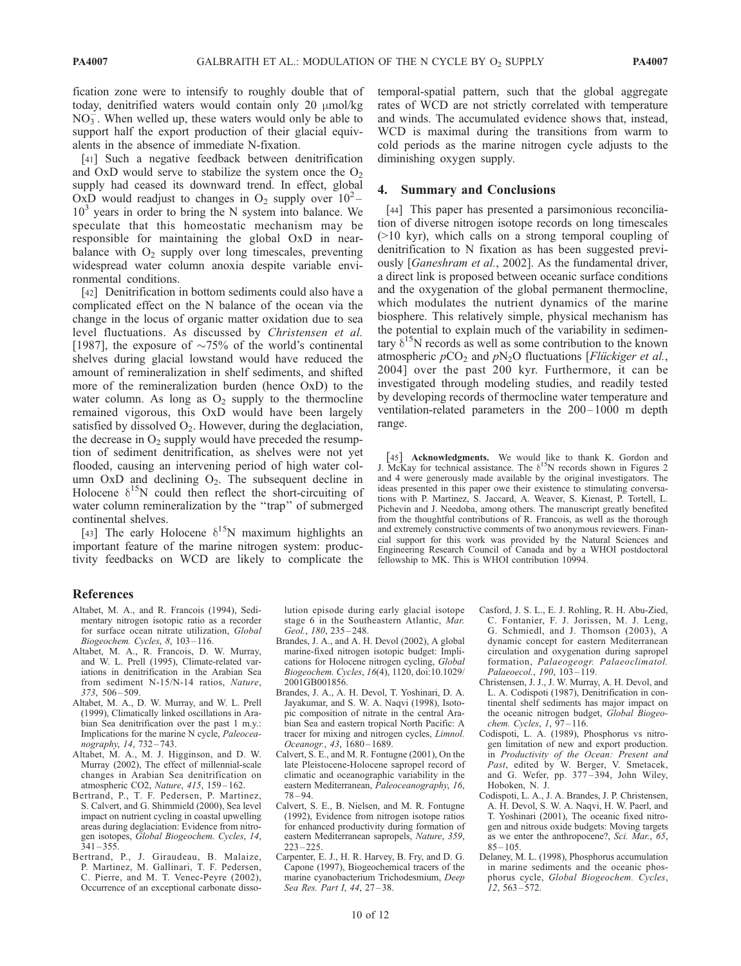fication zone were to intensify to roughly double that of today, denitrified waters would contain only 20  $\mu$ mol/kg  $NO<sub>3</sub>$ . When welled up, these waters would only be able to support half the export production of their glacial equivalents in the absence of immediate N-fixation.

[41] Such a negative feedback between denitrification and OxD would serve to stabilize the system once the  $O_2$ supply had ceased its downward trend. In effect, global  $OxD$  would readjust to changes in  $O_2$  supply over  $10^2 10<sup>3</sup>$  years in order to bring the N system into balance. We speculate that this homeostatic mechanism may be responsible for maintaining the global OxD in nearbalance with  $O_2$  supply over long timescales, preventing widespread water column anoxia despite variable environmental conditions.

[42] Denitrification in bottom sediments could also have a complicated effect on the N balance of the ocean via the change in the locus of organic matter oxidation due to sea level fluctuations. As discussed by Christensen et al. [1987], the exposure of  $\sim 75\%$  of the world's continental shelves during glacial lowstand would have reduced the amount of remineralization in shelf sediments, and shifted more of the remineralization burden (hence OxD) to the water column. As long as  $O_2$  supply to the thermocline remained vigorous, this OxD would have been largely satisfied by dissolved  $O_2$ . However, during the deglaciation, the decrease in  $O_2$  supply would have preceded the resumption of sediment denitrification, as shelves were not yet flooded, causing an intervening period of high water column OxD and declining  $O_2$ . The subsequent decline in Holocene  $\delta^{15}N$  could then reflect the short-circuiting of water column remineralization by the "trap" of submerged continental shelves.

[43] The early Holocene  $\delta^{15}N$  maximum highlights an important feature of the marine nitrogen system: productivity feedbacks on WCD are likely to complicate the temporal-spatial pattern, such that the global aggregate rates of WCD are not strictly correlated with temperature and winds. The accumulated evidence shows that, instead, WCD is maximal during the transitions from warm to cold periods as the marine nitrogen cycle adjusts to the diminishing oxygen supply.

#### 4. Summary and Conclusions

[44] This paper has presented a parsimonious reconciliation of diverse nitrogen isotope records on long timescales (>10 kyr), which calls on a strong temporal coupling of denitrification to N fixation as has been suggested previously [Ganeshram et al., 2002]. As the fundamental driver, a direct link is proposed between oceanic surface conditions and the oxygenation of the global permanent thermocline, which modulates the nutrient dynamics of the marine biosphere. This relatively simple, physical mechanism has the potential to explain much of the variability in sedimentary  $\delta^{15}$ N records as well as some contribution to the known atmospheric  $pCO_2$  and  $pN_2O$  fluctuations [*Flückiger et al.*, 2004] over the past 200 kyr. Furthermore, it can be investigated through modeling studies, and readily tested by developing records of thermocline water temperature and ventilation-related parameters in the 200– 1000 m depth range.

[45] Acknowledgments. We would like to thank K. Gordon and J. McKay for technical assistance. The  $\delta^{15}N$  records shown in Figures 2 and 4 were generously made available by the original investigators. The ideas presented in this paper owe their existence to stimulating conversations with P. Martinez, S. Jaccard, A. Weaver, S. Kienast, P. Tortell, L. Pichevin and J. Needoba, among others. The manuscript greatly benefited from the thoughtful contributions of R. Francois, as well as the thorough and extremely constructive comments of two anonymous reviewers. Financial support for this work was provided by the Natural Sciences and Engineering Research Council of Canada and by a WHOI postdoctoral fellowship to MK. This is WHOI contribution 10994.

#### References

- Altabet, M. A., and R. Francois (1994), Sedimentary nitrogen isotopic ratio as a recorder for surface ocean nitrate utilization, Global Biogeochem. Cycles, 8, 103 – 116.
- Altabet, M. A., R. Francois, D. W. Murray, and W. L. Prell (1995), Climate-related variations in denitrification in the Arabian Sea from sediment N-15/N-14 ratios, Nature, 373, 506 – 509.
- Altabet, M. A., D. W. Murray, and W. L. Prell (1999), Climatically linked oscillations in Arabian Sea denitrification over the past 1 m.y.: Implications for the marine N cycle, Paleoceanography, 14, 732-743.
- Altabet, M. A., M. J. Higginson, and D. W. Murray (2002), The effect of millennial-scale changes in Arabian Sea denitrification on atmospheric CO2, Nature, 415, 159 – 162.
- Bertrand, P., T. F. Pedersen, P. Martinez, S. Calvert, and G. Shimmield (2000), Sea level impact on nutrient cycling in coastal upwelling areas during deglaciation: Evidence from nitrogen isotopes, Global Biogeochem. Cycles, 14,  $341 - 355.$
- Bertrand, P., J. Giraudeau, B. Malaize, P. Martinez, M. Gallinari, T. F. Pedersen, C. Pierre, and M. T. Venec-Peyre (2002), Occurrence of an exceptional carbonate disso-

lution episode during early glacial isotope stage 6 in the Southeastern Atlantic, Mar. Geol., 180, 235-248.

- Brandes, J. A., and A. H. Devol (2002), A global marine-fixed nitrogen isotopic budget: Implications for Holocene nitrogen cycling, Global Biogeochem. Cycles, 16(4), 1120, doi:10.1029/ 2001GB001856.
- Brandes, J. A., A. H. Devol, T. Yoshinari, D. A. Jayakumar, and S. W. A. Naqvi (1998), Isotopic composition of nitrate in the central Arabian Sea and eastern tropical North Pacific: A tracer for mixing and nitrogen cycles, Limnol. Oceanogr., 43, 1680-1689.
- Calvert, S. E., and M. R. Fontugne (2001), On the late Pleistocene-Holocene sapropel record of climatic and oceanographic variability in the eastern Mediterranean, Paleoceanography, 16, 78 – 94.
- Calvert, S. E., B. Nielsen, and M. R. Fontugne (1992), Evidence from nitrogen isotope ratios for enhanced productivity during formation of eastern Mediterranean sapropels, Nature, 359,  $223 - 225$
- Carpenter, E. J., H. R. Harvey, B. Fry, and D. G. Capone (1997), Biogeochemical tracers of the marine cyanobacterium Trichodesmium, Deep Sea Res. Part I, 44, 27-38.
- Casford, J. S. L., E. J. Rohling, R. H. Abu-Zied, C. Fontanier, F. J. Jorissen, M. J. Leng, G. Schmiedl, and J. Thomson (2003), A dynamic concept for eastern Mediterranean circulation and oxygenation during sapropel formation, Palaeogeogr. Palaeoclimatol. Palaeoecol., 190, 103-119.
- Christensen, J. J., J. W. Murray, A. H. Devol, and L. A. Codispoti (1987), Denitrification in continental shelf sediments has major impact on the oceanic nitrogen budget, Global Biogeochem. Cycles, 1, 97-116.
- Codispoti, L. A. (1989), Phosphorus vs nitrogen limitation of new and export production. in Productivity of the Ocean: Present and Past, edited by W. Berger, V. Smetacek, and G. Wefer, pp. 377 – 394, John Wiley, Hoboken, N. J.
- Codispoti, L. A., J. A. Brandes, J. P. Christensen, A. H. Devol, S. W. A. Naqvi, H. W. Paerl, and T. Yoshinari (2001), The oceanic fixed nitrogen and nitrous oxide budgets: Moving targets as we enter the anthropocene?, Sci. Mar., 65,  $85 - 105$
- Delaney, M. L. (1998), Phosphorus accumulation in marine sediments and the oceanic phosphorus cycle, Global Biogeochem. Cycles, 12, 563 – 572.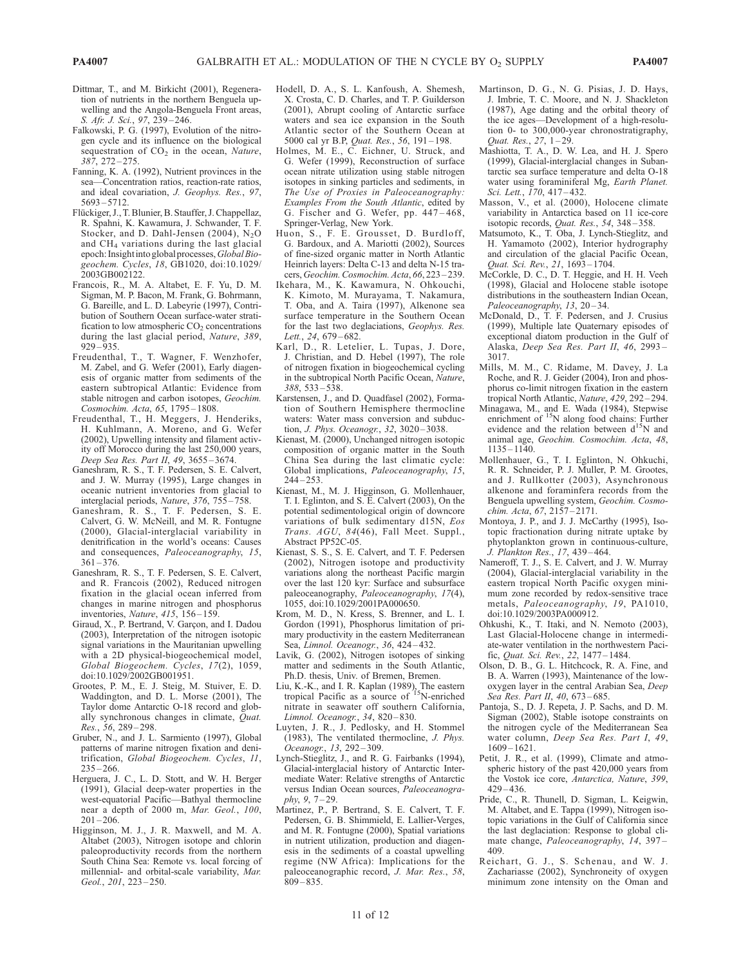- Dittmar, T., and M. Birkicht (2001), Regeneration of nutrients in the northern Benguela upwelling and the Angola-Benguela Front areas, S. Afr. J. Sci., 97, 239 – 246.
- Falkowski, P. G. (1997), Evolution of the nitrogen cycle and its influence on the biological sequestration of  $CO<sub>2</sub>$  in the ocean, Nature, 387, 272 – 275.
- Fanning, K. A. (1992), Nutrient provinces in the sea—Concentration ratios, reaction-rate ratios, and ideal covariation, J. Geophys. Res., 97, 5693 – 5712.
- Flückiger, J., T. Blunier, B. Stauffer, J. Chappellaz, R. Spahni, K. Kawamura, J. Schwander, T. F. Stocker, and D. Dahl-Jensen (2004),  $N_2O$ and CH4 variations during the last glacial epoch: Insight into global processes, Global Biogeochem. Cycles, 18, GB1020, doi:10.1029/ 2003GB002122.
- Francois, R., M. A. Altabet, E. F. Yu, D. M. Sigman, M. P. Bacon, M. Frank, G. Bohrmann, G. Bareille, and L. D. Labeyrie (1997), Contribution of Southern Ocean surface-water stratification to low atmospheric  $CO<sub>2</sub>$  concentrations during the last glacial period, Nature, 389, 929 – 935.
- Freudenthal, T., T. Wagner, F. Wenzhofer, M. Zabel, and G. Wefer (2001), Early diagenesis of organic matter from sediments of the eastern subtropical Atlantic: Evidence from stable nitrogen and carbon isotopes, Geochim. Cosmochim. Acta, 65, 1795-1808.
- Freudenthal, T., H. Meggers, J. Henderiks, H. Kuhlmann, A. Moreno, and G. Wefer (2002), Upwelling intensity and filament activity off Morocco during the last 250,000 years, Deep Sea Res. Part II, 49, 3655-3674.
- Ganeshram, R. S., T. F. Pedersen, S. E. Calvert, and J. W. Murray (1995), Large changes in oceanic nutrient inventories from glacial to interglacial periods, Nature, 376, 755 – 758.
- Ganeshram, R. S., T. F. Pedersen, S. E. Calvert, G. W. McNeill, and M. R. Fontugne (2000), Glacial-interglacial variability in denitrification in the world's oceans: Causes and consequences, Paleoceanography, 15,  $361 - 376$ .
- Ganeshram, R. S., T. F. Pedersen, S. E. Calvert, and R. Francois (2002), Reduced nitrogen fixation in the glacial ocean inferred from changes in marine nitrogen and phosphorus inventories, Nature, 415, 156-159.
- Giraud, X., P. Bertrand, V. Garçon, and I. Dadou (2003), Interpretation of the nitrogen isotopic signal variations in the Mauritanian upwelling with a 2D physical-biogeochemical model, Global Biogeochem. Cycles, 17(2), 1059, doi:10.1029/2002GB001951.
- Grootes, P. M., E. J. Steig, M. Stuiver, E. D. Waddington, and D. L. Morse (2001), The Taylor dome Antarctic O-18 record and globally synchronous changes in climate, Quat. Res., 56, 289 – 298.
- Gruber, N., and J. L. Sarmiento (1997), Global patterns of marine nitrogen fixation and denitrification, Global Biogeochem. Cycles, 11,  $235 - 266.$
- Herguera, J. C., L. D. Stott, and W. H. Berger (1991), Glacial deep-water properties in the west-equatorial Pacific—Bathyal thermocline near a depth of 2000 m, Mar. Geol., 100,  $201 - 206$
- Higginson, M. J., J. R. Maxwell, and M. A. Altabet (2003), Nitrogen isotope and chlorin paleoproductivity records from the northern South China Sea: Remote vs. local forcing of millennial- and orbital-scale variability, Mar. Geol., 201, 223 – 250.
- Hodell, D. A., S. L. Kanfoush, A. Shemesh, X. Crosta, C. D. Charles, and T. P. Guilderson (2001), Abrupt cooling of Antarctic surface waters and sea ice expansion in the South Atlantic sector of the Southern Ocean at 5000 cal yr B.P, Quat. Res., 56, 191-198.
- Holmes, M. E., C. Eichner, U. Struck, and G. Wefer (1999), Reconstruction of surface ocean nitrate utilization using stable nitrogen isotopes in sinking particles and sediments, in The Use of Proxies in Paleoceanography: Examples From the South Atlantic, edited by G. Fischer and G. Wefer, pp. 447 – 468, Springer-Verlag, New York.
- Huon, S., F. E. Grousset, D. Burdloff, G. Bardoux, and A. Mariotti (2002), Sources of fine-sized organic matter in North Atlantic Heinrich layers: Delta C-13 and delta N-15 tracers, Geochim. Cosmochim. Acta, 66, 223 – 239.
- Ikehara, M., K. Kawamura, N. Ohkouchi, K. Kimoto, M. Murayama, T. Nakamura, T. Oba, and A. Taira (1997), Alkenone sea surface temperature in the Southern Ocean for the last two deglaciations, Geophys. Res. Lett., 24, 679-682.
- Karl, D., R. Letelier, L. Tupas, J. Dore, J. Christian, and D. Hebel (1997), The role of nitrogen fixation in biogeochemical cycling in the subtropical North Pacific Ocean, Nature, 388, 533 – 538.
- Karstensen, J., and D. Quadfasel (2002), Formation of Southern Hemisphere thermocline waters: Water mass conversion and subduction, *J. Phys. Oceanogr.*, 32, 3020-3038.
- Kienast, M. (2000), Unchanged nitrogen isotopic composition of organic matter in the South China Sea during the last climatic cycle: Global implications, Paleoceanography, 15,  $244 - 253$ .
- Kienast, M., M. J. Higginson, G. Mollenhauer, T. I. Eglinton, and S. E. Calvert (2003), On the potential sedimentological origin of downcore variations of bulk sedimentary d15N, Eos Trans. AGU, 84(46), Fall Meet. Suppl., Abstract PP52C-05.
- Kienast, S. S., S. E. Calvert, and T. F. Pedersen (2002), Nitrogen isotope and productivity variations along the northeast Pacific margin over the last 120 kyr: Surface and subsurface paleoceanography, Paleoceanography, 17(4), 1055, doi:10.1029/2001PA000650.
- Krom, M. D., N. Kress, S. Brenner, and L. I. Gordon (1991), Phosphorus limitation of primary productivity in the eastern Mediterranean Sea, Limnol. Oceanogr., 36, 424 – 432.
- Lavik, G. (2002), Nitrogen isotopes of sinking matter and sediments in the South Atlantic, Ph.D. thesis, Univ. of Bremen, Bremen.
- Liu, K.-K., and I. R. Kaplan (1989), The eastern tropical Pacific as a source of  $15$ N-enriched nitrate in seawater off southern California, Limnol. Oceanogr., 34, 820 – 830.
- Luyten, J. R., J. Pedlosky, and H. Stommel (1983), The ventilated thermocline, J. Phys. Oceanogr., 13, 292-309.
- Lynch-Stieglitz, J., and R. G. Fairbanks (1994), Glacial-interglacial history of Antarctic Intermediate Water: Relative strengths of Antarctic versus Indian Ocean sources, Paleoceanogra $phv, 9, 7-29.$
- Martinez, P., P. Bertrand, S. E. Calvert, T. F. Pedersen, G. B. Shimmield, E. Lallier-Verges, and M. R. Fontugne (2000), Spatial variations in nutrient utilization, production and diagenesis in the sediments of a coastal upwelling regime (NW Africa): Implications for the paleoceanographic record, J. Mar. Res., 58, 809 – 835.
- Martinson, D. G., N. G. Pisias, J. D. Hays, J. Imbrie, T. C. Moore, and N. J. Shackleton (1987), Age dating and the orbital theory of the ice ages—Development of a high-resolution 0- to 300,000-year chronostratigraphy, Quat. Res.,  $27, 1-29$ .
- Mashiotta, T. A., D. W. Lea, and H. J. Spero (1999), Glacial-interglacial changes in Subantarctic sea surface temperature and delta O-18 water using foraminiferal Mg, Earth Planet. Sci. Lett., 170, 417-432.
- Masson, V., et al. (2000), Holocene climate variability in Antarctica based on 11 ice-core isotopic records, Quat. Res., 54, 348 – 358.
- Matsumoto, K., T. Oba, J. Lynch-Stieglitz, and H. Yamamoto (2002), Interior hydrography and circulation of the glacial Pacific Ocean, Quat. Sci. Rev., 21, 1693 – 1704.
- McCorkle, D. C., D. T. Heggie, and H. H. Veeh (1998), Glacial and Holocene stable isotope distributions in the southeastern Indian Ocean, Paleoceanography, 13, 20-34.
- McDonald, D., T. F. Pedersen, and J. Crusius (1999), Multiple late Quaternary episodes of exceptional diatom production in the Gulf of Alaska, Deep Sea Res. Part II, 46, 2993 – 3017.
- Mills, M. M., C. Ridame, M. Davey, J. La Roche, and R. J. Geider (2004), Iron and phosphorus co-limit nitrogen fixation in the eastern tropical North Atlantic, Nature, 429, 292 – 294.
- Minagawa, M., and E. Wada (1984), Stepwise<br>enrichment of  $15N$  along food chains: Further evidence and the relation between  $d^{15}N$  and animal age, Geochim. Cosmochim. Acta, 48, 1135 – 1140.
- Mollenhauer, G., T. I. Eglinton, N. Ohkuchi, R. R. Schneider, P. J. Muller, P. M. Grootes, and J. Rullkotter (2003), Asynchronous alkenone and foraminfera records from the Benguela upwelling system, Geochim. Cosmochim. Acta, 67, 2157 – 2171.
- Montoya, J. P., and J. J. McCarthy (1995), Isotopic fractionation during nitrate uptake by phytoplankton grown in continuous-culture, J. Plankton Res., 17, 439 – 464.
- Nameroff, T. J., S. E. Calvert, and J. W. Murray (2004), Glacial-interglacial variability in the eastern tropical North Pacific oxygen minimum zone recorded by redox-sensitive trace metals, Paleoceanography, 19, PA1010, doi:10.1029/2003PA000912.
- Ohkushi, K., T. Itaki, and N. Nemoto (2003), Last Glacial-Holocene change in intermediate-water ventilation in the northwestern Pacific, Quat. Sci. Rev., 22, 1477 – 1484.
- Olson, D. B., G. L. Hitchcock, R. A. Fine, and B. A. Warren (1993), Maintenance of the lowoxygen layer in the central Arabian Sea, Deep Sea Res. Part II, 40, 673-685.
- Pantoja, S., D. J. Repeta, J. P. Sachs, and D. M. Sigman (2002), Stable isotope constraints on the nitrogen cycle of the Mediterranean Sea water column, Deep Sea Res. Part I, 49, 1609 – 1621.
- Petit, J. R., et al. (1999), Climate and atmospheric history of the past 420,000 years from the Vostok ice core, Antarctica, Nature, 399,  $429 - 436.$
- Pride, C., R. Thunell, D. Sigman, L. Keigwin, M. Altabet, and E. Tappa (1999), Nitrogen isotopic variations in the Gulf of California since the last deglaciation: Response to global climate change, Paleoceanography, 14, 397 – 409.
- Reichart, G. J., S. Schenau, and W. J. Zachariasse (2002), Synchroneity of oxygen minimum zone intensity on the Oman and